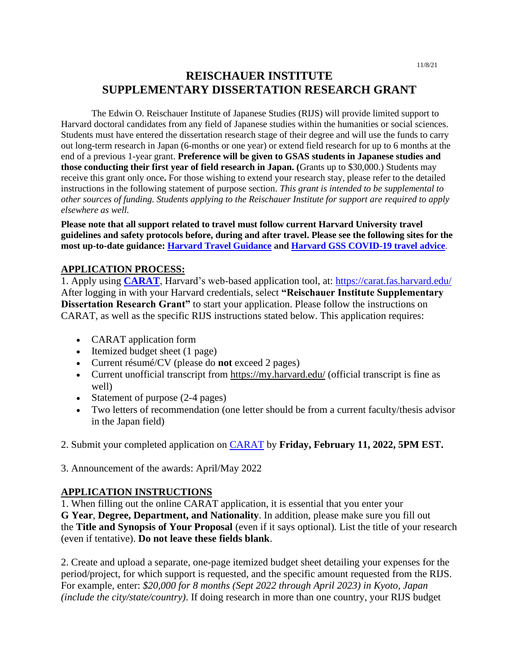# **REISCHAUER INSTITUTE SUPPLEMENTARY DISSERTATION RESEARCH GRANT**

The Edwin O. Reischauer Institute of Japanese Studies (RIJS) will provide limited support to Harvard doctoral candidates from any field of Japanese studies within the humanities or social sciences. Students must have entered the dissertation research stage of their degree and will use the funds to carry out long-term research in Japan (6-months or one year) or extend field research for up to 6 months at the end of a previous 1-year grant. **Preference will be given to GSAS students in Japanese studies and those conducting their first year of field research in Japan. (**Grants up to \$30,000.) Students may receive this grant only once**.** For those wishing to extend your research stay, please refer to the detailed instructions in the following statement of purpose section. *This grant is intended to be supplemental to other sources of funding. Students applying to the Reischauer Institute for support are required to apply elsewhere as well.* 

**Please note that all support related to travel must follow current Harvard University travel guidelines and safety protocols before, during and after travel. Please see the following sites for the most up-to-date guidance: [Harvard Travel Guidance](https://www.harvard.edu/coronavirus/travel-guidance) an[d Harvard GSS COVID-19 travel advice](https://www.globalsupport.harvard.edu/news-advice/coronavirus-advice-travelers)**.

#### **APPLICATION PROCESS:**

1. Apply using **[CARAT](https://carat.fas.harvard.edu/)**, Harvard's web-based application tool, at: <https://carat.fas.harvard.edu/> After logging in with your Harvard credentials, select **"Reischauer Institute Supplementary Dissertation Research Grant"** to start your application. Please follow the instructions on CARAT, as well as the specific RIJS instructions stated below. This application requires:

- CARAT application form
- Itemized budget sheet (1 page)
- Current résumé/CV (please do **not** exceed 2 pages)
- Current unofficial transcript from <https://my.harvard.edu/> (official transcript is fine as well)
- Statement of purpose (2-4 pages)
- Two letters of recommendation (one letter should be from a current faculty/thesis advisor in the Japan field)

2. Submit your completed application on [CARAT](https://carat.fas.harvard.edu/) by **Friday, February 11, 2022, 5PM EST.**

3. Announcement of the awards: April/May 2022

### **APPLICATION INSTRUCTIONS**

1. When filling out the online CARAT application, it is essential that you enter your **G Year**, **Degree, Department, and Nationality**. In addition, please make sure you fill out the **Title and Synopsis of Your Proposal** (even if it says optional)*.* List the title of your research (even if tentative). **Do not leave these fields blank**.

2. Create and upload a separate, one-page itemized budget sheet detailing your expenses for the period/project, for which support is requested, and the specific amount requested from the RIJS. For example, enter: *\$20,000 for 8 months (Sept 2022 through April 2023) in Kyoto, Japan (include the city/state/country)*. If doing research in more than one country, your RIJS budget